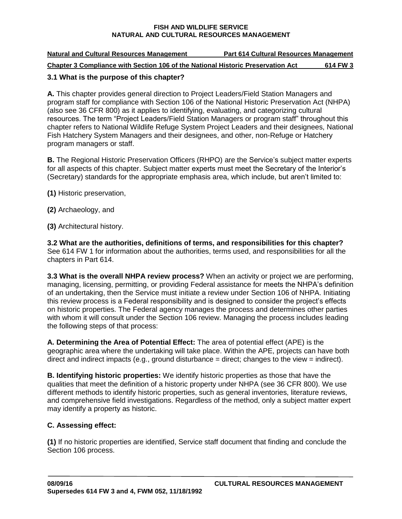| <b>Natural and Cultural Resources Management</b>                                | <b>Part 614 Cultural Resources Management</b> |          |
|---------------------------------------------------------------------------------|-----------------------------------------------|----------|
| Chapter 3 Compliance with Section 106 of the National Historic Preservation Act |                                               | 614 FW 3 |

# **3.1 What is the purpose of this chapter?**

**A.** This chapter provides general direction to Project Leaders/Field Station Managers and program staff for compliance with Section 106 of the National Historic Preservation Act (NHPA) (also see 36 CFR 800) as it applies to identifying, evaluating, and categorizing cultural resources. The term "Project Leaders/Field Station Managers or program staff" throughout this chapter refers to National Wildlife Refuge System Project Leaders and their designees, National Fish Hatchery System Managers and their designees, and other, non-Refuge or Hatchery program managers or staff.

**B.** The Regional Historic Preservation Officers (RHPO) are the Service's subject matter experts for all aspects of this chapter. Subject matter experts must meet the Secretary of the Interior's (Secretary) standards for the appropriate emphasis area, which include, but aren't limited to:

**(1)** Historic preservation,

- **(2)** Archaeology, and
- **(3)** Architectural history.

**3.2 What are the authorities, definitions of terms, and responsibilities for this chapter?**  See 614 FW 1 for information about the authorities, terms used, and responsibilities for all the chapters in Part 614.

**3.3 What is the overall NHPA review process?** When an activity or project we are performing, managing, licensing, permitting, or providing Federal assistance for meets the NHPA's definition of an undertaking, then the Service must initiate a review under Section 106 of NHPA. Initiating this review process is a Federal responsibility and is designed to consider the project's effects on historic properties. The Federal agency manages the process and determines other parties with whom it will consult under the Section 106 review. Managing the process includes leading the following steps of that process:

**A. Determining the Area of Potential Effect:** The area of potential effect (APE) is the geographic area where the undertaking will take place. Within the APE, projects can have both direct and indirect impacts (e.g., ground disturbance  $=$  direct; changes to the view  $=$  indirect).

**B. Identifying historic properties:** We identify historic properties as those that have the qualities that meet the definition of a historic property under NHPA (see 36 CFR 800). We use different methods to identify historic properties, such as general inventories, literature reviews, and comprehensive field investigations. Regardless of the method, only a subject matter expert may identify a property as historic.

# **C. Assessing effect:**

**(1)** If no historic properties are identified, Service staff document that finding and conclude the Section 106 process.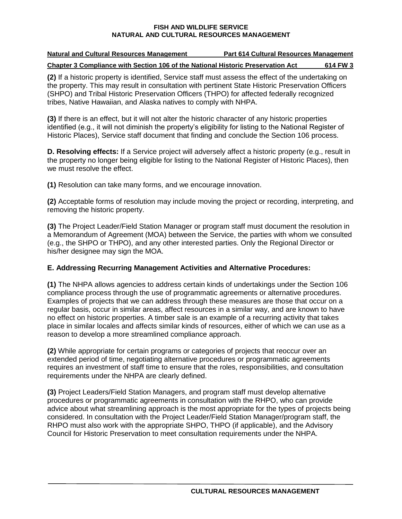| <b>Natural and Cultural Resources Management</b>                                | <b>Part 614 Cultural Resources Management</b> |          |
|---------------------------------------------------------------------------------|-----------------------------------------------|----------|
| Chapter 3 Compliance with Section 106 of the National Historic Preservation Act |                                               | 614 FW 3 |

**(2)** If a historic property is identified, Service staff must assess the effect of the undertaking on the property. This may result in consultation with pertinent State Historic Preservation Officers (SHPO) and Tribal Historic Preservation Officers (THPO) for affected federally recognized tribes, Native Hawaiian, and Alaska natives to comply with NHPA.

**(3)** If there is an effect, but it will not alter the historic character of any historic properties identified (e.g., it will not diminish the property's eligibility for listing to the National Register of Historic Places), Service staff document that finding and conclude the Section 106 process.

**D. Resolving effects:** If a Service project will adversely affect a historic property (e.g., result in the property no longer being eligible for listing to the National Register of Historic Places), then we must resolve the effect.

**(1)** Resolution can take many forms, and we encourage innovation.

**(2)** Acceptable forms of resolution may include moving the project or recording, interpreting, and removing the historic property.

**(3)** The Project Leader/Field Station Manager or program staff must document the resolution in a Memorandum of Agreement (MOA) between the Service, the parties with whom we consulted (e.g., the SHPO or THPO), and any other interested parties. Only the Regional Director or his/her designee may sign the MOA.

# **E. Addressing Recurring Management Activities and Alternative Procedures:**

**(1)** The NHPA allows agencies to address certain kinds of undertakings under the Section 106 compliance process through the use of programmatic agreements or alternative procedures. Examples of projects that we can address through these measures are those that occur on a regular basis, occur in similar areas, affect resources in a similar way, and are known to have no effect on historic properties. A timber sale is an example of a recurring activity that takes place in similar locales and affects similar kinds of resources, either of which we can use as a reason to develop a more streamlined compliance approach.

**(2)** While appropriate for certain programs or categories of projects that reoccur over an extended period of time, negotiating alternative procedures or programmatic agreements requires an investment of staff time to ensure that the roles, responsibilities, and consultation requirements under the NHPA are clearly defined.

**(3)** Project Leaders/Field Station Managers, and program staff must develop alternative procedures or programmatic agreements in consultation with the RHPO, who can provide advice about what streamlining approach is the most appropriate for the types of projects being considered. In consultation with the Project Leader/Field Station Manager/program staff, the RHPO must also work with the appropriate SHPO, THPO (if applicable), and the Advisory Council for Historic Preservation to meet consultation requirements under the NHPA.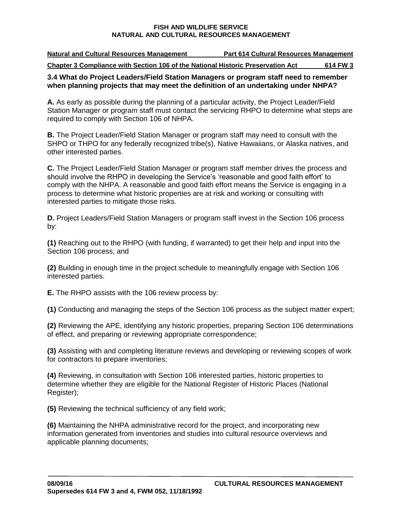**Natural and Cultural Resources Management Part 614 Cultural Resources Management Chapter 3 Compliance with Section 106 of the National Historic Preservation Act 614 FW 3**

### **3.4 What do Project Leaders/Field Station Managers or program staff need to remember when planning projects that may meet the definition of an undertaking under NHPA?**

**A.** As early as possible during the planning of a particular activity, the Project Leader/Field Station Manager or program staff must contact the servicing RHPO to determine what steps are required to comply with Section 106 of NHPA.

**B.** The Project Leader/Field Station Manager or program staff may need to consult with the SHPO or THPO for any federally recognized tribe(s), Native Hawaiians, or Alaska natives, and other interested parties.

**C.** The Project Leader/Field Station Manager or program staff member drives the process and should involve the RHPO in developing the Service's 'reasonable and good faith effort' to comply with the NHPA. A reasonable and good faith effort means the Service is engaging in a process to determine what historic properties are at risk and working or consulting with interested parties to mitigate those risks.

**D.** Project Leaders/Field Station Managers or program staff invest in the Section 106 process by:

**(1)** Reaching out to the RHPO (with funding, if warranted) to get their help and input into the Section 106 process, and

**(2)** Building in enough time in the project schedule to meaningfully engage with Section 106 interested parties.

**E.** The RHPO assists with the 106 review process by:

**(1)** Conducting and managing the steps of the Section 106 process as the subject matter expert;

**(2)** Reviewing the APE, identifying any historic properties, preparing Section 106 determinations of effect, and preparing or reviewing appropriate correspondence;

**(3)** Assisting with and completing literature reviews and developing or reviewing scopes of work for contractors to prepare inventories;

**(4)** Reviewing, in consultation with Section 106 interested parties, historic properties to determine whether they are eligible for the National Register of Historic Places (National Register);

**(5)** Reviewing the technical sufficiency of any field work;

**(6)** Maintaining the NHPA administrative record for the project, and incorporating new information generated from inventories and studies into cultural resource overviews and applicable planning documents;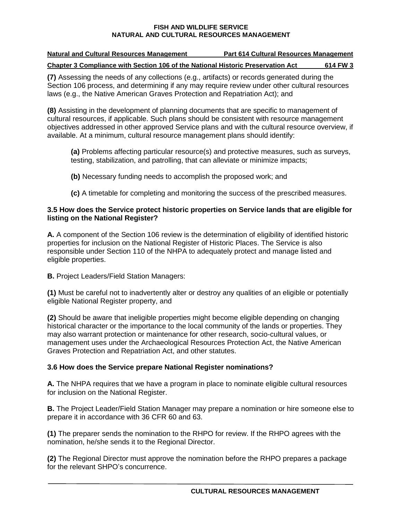| <b>Natural and Cultural Resources Management</b>                                | <b>Part 614 Cultural Resources Management</b> |          |
|---------------------------------------------------------------------------------|-----------------------------------------------|----------|
| Chapter 3 Compliance with Section 106 of the National Historic Preservation Act |                                               | 614 FW 3 |

**(7)** Assessing the needs of any collections (e.g., artifacts) or records generated during the Section 106 process, and determining if any may require review under other cultural resources laws (e.g., the Native American Graves Protection and Repatriation Act); and

**(8)** Assisting in the development of planning documents that are specific to management of cultural resources, if applicable. Such plans should be consistent with resource management objectives addressed in other approved Service plans and with the cultural resource overview, if available. At a minimum, cultural resource management plans should identify:

**(a)** Problems affecting particular resource(s) and protective measures, such as surveys, testing, stabilization, and patrolling, that can alleviate or minimize impacts;

**(b)** Necessary funding needs to accomplish the proposed work; and

**(c)** A timetable for completing and monitoring the success of the prescribed measures.

### **3.5 How does the Service protect historic properties on Service lands that are eligible for listing on the National Register?**

**A.** A component of the Section 106 review is the determination of eligibility of identified historic properties for inclusion on the National Register of Historic Places. The Service is also responsible under Section 110 of the NHPA to adequately protect and manage listed and eligible properties.

**B.** Project Leaders/Field Station Managers:

**(1)** Must be careful not to inadvertently alter or destroy any qualities of an eligible or potentially eligible National Register property, and

**(2)** Should be aware that ineligible properties might become eligible depending on changing historical character or the importance to the local community of the lands or properties. They may also warrant protection or maintenance for other research, socio-cultural values, or management uses under the Archaeological Resources Protection Act, the Native American Graves Protection and Repatriation Act, and other statutes.

# **3.6 How does the Service prepare National Register nominations?**

**A.** The NHPA requires that we have a program in place to nominate eligible cultural resources for inclusion on the National Register.

**B.** The Project Leader/Field Station Manager may prepare a nomination or hire someone else to prepare it in accordance with 36 CFR 60 and 63.

**(1)** The preparer sends the nomination to the RHPO for review. If the RHPO agrees with the nomination, he/she sends it to the Regional Director.

**(2)** The Regional Director must approve the nomination before the RHPO prepares a package for the relevant SHPO's concurrence.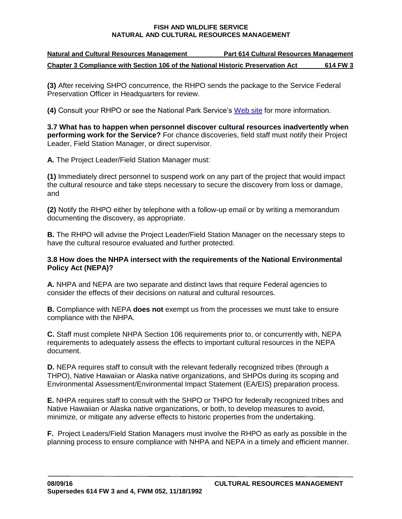| <b>Natural and Cultural Resources Management</b>                                | <b>Part 614 Cultural Resources Management</b> |          |
|---------------------------------------------------------------------------------|-----------------------------------------------|----------|
| Chapter 3 Compliance with Section 106 of the National Historic Preservation Act |                                               | 614 FW 3 |

**(3)** After receiving SHPO concurrence, the RHPO sends the package to the Service Federal Preservation Officer in Headquarters for review.

**(4)** Consult your RHPO or see the National Park Service's [Web site](http://www.nps.gov/nr/national_register_fundamentals.htm) for more information.

**3.7 What has to happen when personnel discover cultural resources inadvertently when performing work for the Service?** For chance discoveries, field staff must notify their Project Leader, Field Station Manager, or direct supervisor.

**A.** The Project Leader/Field Station Manager must:

**(1)** Immediately direct personnel to suspend work on any part of the project that would impact the cultural resource and take steps necessary to secure the discovery from loss or damage, and

**(2)** Notify the RHPO either by telephone with a follow-up email or by writing a memorandum documenting the discovery, as appropriate.

**B.** The RHPO will advise the Project Leader/Field Station Manager on the necessary steps to have the cultural resource evaluated and further protected.

### **3.8 How does the NHPA intersect with the requirements of the National Environmental Policy Act (NEPA)?**

**A.** NHPA and NEPA are two separate and distinct laws that require Federal agencies to consider the effects of their decisions on natural and cultural resources.

**B.** Compliance with NEPA **does not** exempt us from the processes we must take to ensure compliance with the NHPA.

**C.** Staff must complete NHPA Section 106 requirements prior to, or concurrently with, NEPA requirements to adequately assess the effects to important cultural resources in the NEPA document.

**D.** NEPA requires staff to consult with the relevant federally recognized tribes (through a THPO), Native Hawaiian or Alaska native organizations, and SHPOs during its scoping and Environmental Assessment/Environmental Impact Statement (EA/EIS) preparation process.

**E.** NHPA requires staff to consult with the SHPO or THPO for federally recognized tribes and Native Hawaiian or Alaska native organizations, or both, to develop measures to avoid, minimize, or mitigate any adverse effects to historic properties from the undertaking.

**F.** Project Leaders/Field Station Managers must involve the RHPO as early as possible in the planning process to ensure compliance with NHPA and NEPA in a timely and efficient manner.